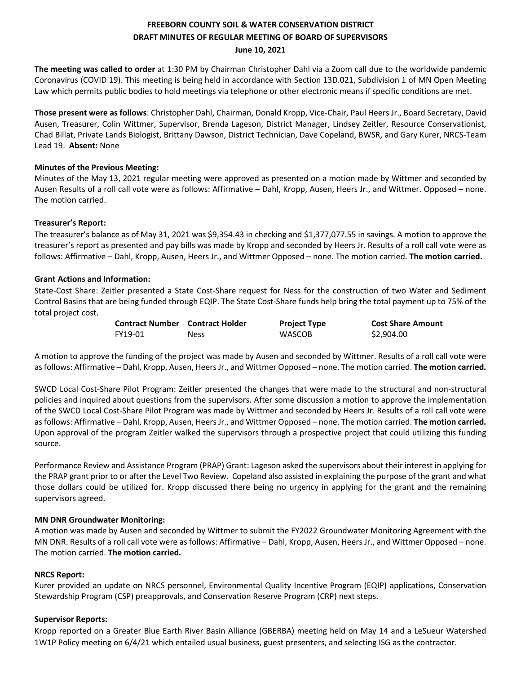# **FREEBORN COUNTY SOIL & WATER CONSERVATION DISTRICT DRAFT MINUTES OF REGULAR MEETING OF BOARD OF SUPERVISORS**

**June 10, 2021**

**The meeting was called to order** at 1:30 PM by Chairman Christopher Dahl via a Zoom call due to the worldwide pandemic Coronavirus (COVID 19). This meeting is being held in accordance with Section 13D.021, Subdivision 1 of MN Open Meeting Law which permits public bodies to hold meetings via telephone or other electronic means if specific conditions are met.

**Those present were as follows**: Christopher Dahl, Chairman, Donald Kropp, Vice-Chair, Paul Heers Jr., Board Secretary, David Ausen, Treasurer, Colin Wittmer, Supervisor, Brenda Lageson, District Manager, Lindsey Zeitler, Resource Conservationist, Chad Billat, Private Lands Biologist, Brittany Dawson, District Technician, Dave Copeland, BWSR, and Gary Kurer, NRCS-Team Lead 19. **Absent:** None

## **Minutes of the Previous Meeting:**

Minutes of the May 13, 2021 regular meeting were approved as presented on a motion made by Wittmer and seconded by Ausen Results of a roll call vote were as follows: Affirmative – Dahl, Kropp, Ausen, Heers Jr., and Wittmer. Opposed – none. The motion carried.

# **Treasurer's Report:**

The treasurer's balance as of May 31, 2021 was \$9,354.43 in checking and \$1,377,077.55 in savings. A motion to approve the treasurer's report as presented and pay bills was made by Kropp and seconded by Heers Jr. Results of a roll call vote were as follows: Affirmative – Dahl, Kropp, Ausen, Heers Jr., and Wittmer Opposed – none. The motion carried. **The motion carried.** 

# **Grant Actions and Information:**

State-Cost Share: Zeitler presented a State Cost-Share request for Ness for the construction of two Water and Sediment Control Basins that are being funded through EQIP. The State Cost-Share funds help bring the total payment up to 75% of the total project cost.

| <b>Contract Number</b> Contract Holder |      | <b>Project Type</b> | <b>Cost Share Amount</b> |
|----------------------------------------|------|---------------------|--------------------------|
| FY19-01                                | Ness | <b>WASCOB</b>       | \$2,904.00               |

A motion to approve the funding of the project was made by Ausen and seconded by Wittmer. Results of a roll call vote were as follows: Affirmative – Dahl, Kropp, Ausen, Heers Jr., and Wittmer Opposed – none. The motion carried. **The motion carried.** 

SWCD Local Cost-Share Pilot Program: Zeitler presented the changes that were made to the structural and non-structural policies and inquired about questions from the supervisors. After some discussion a motion to approve the implementation of the SWCD Local Cost-Share Pilot Program was made by Wittmer and seconded by Heers Jr. Results of a roll call vote were as follows: Affirmative – Dahl, Kropp, Ausen, Heers Jr., and Wittmer Opposed – none. The motion carried. **The motion carried.**  Upon approval of the program Zeitler walked the supervisors through a prospective project that could utilizing this funding source.

Performance Review and Assistance Program (PRAP) Grant: Lageson asked the supervisors about their interest in applying for the PRAP grant prior to or after the Level Two Review. Copeland also assisted in explaining the purpose of the grant and what those dollars could be utilized for. Kropp discussed there being no urgency in applying for the grant and the remaining supervisors agreed.

## **MN DNR Groundwater Monitoring:**

A motion was made by Ausen and seconded by Wittmer to submit the FY2022 Groundwater Monitoring Agreement with the MN DNR. Results of a roll call vote were as follows: Affirmative – Dahl, Kropp, Ausen, Heers Jr., and Wittmer Opposed – none. The motion carried. **The motion carried.** 

## **NRCS Report:**

Kurer provided an update on NRCS personnel, Environmental Quality Incentive Program (EQIP) applications, Conservation Stewardship Program (CSP) preapprovals, and Conservation Reserve Program (CRP) next steps.

## **Supervisor Reports:**

Kropp reported on a Greater Blue Earth River Basin Alliance (GBERBA) meeting held on May 14 and a LeSueur Watershed 1W1P Policy meeting on 6/4/21 which entailed usual business, guest presenters, and selecting ISG as the contractor.